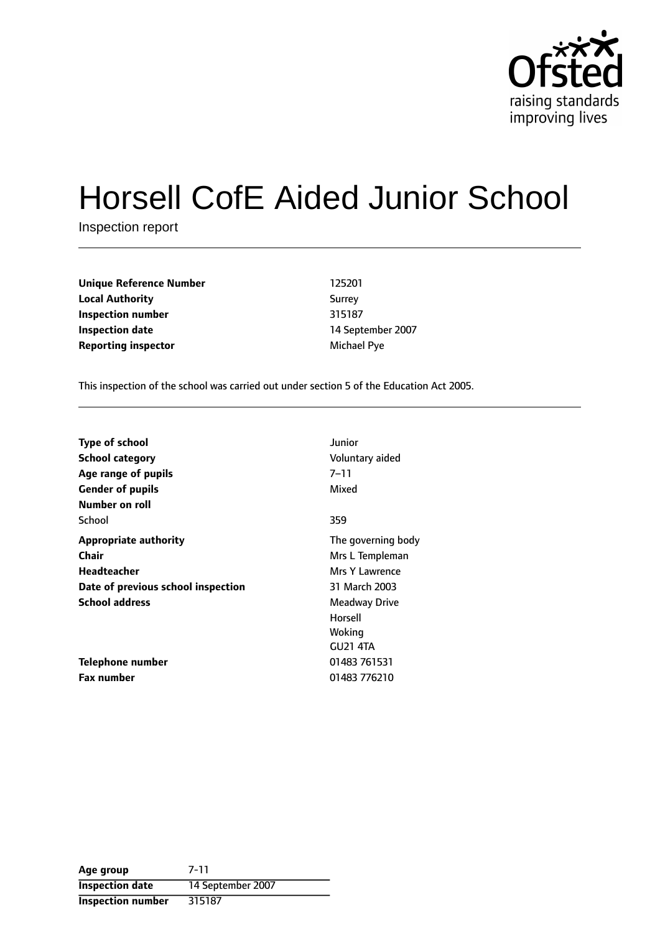

# Horsell CofE Aided Junior School

Inspection report

**Unique Reference Number** 125201 **Local Authority** Surrey **Inspection number** 315187 **Inspection date** 14 September 2007 **Reporting inspector and a structure of the Michael Pye** 

This inspection of the school was carried out under section 5 of the Education Act 2005.

| <b>Type of school</b><br><b>School category</b><br>Age range of pupils<br><b>Gender of pupils</b><br>Number on roll | Junior<br>Voluntary aided<br>$7 - 11$<br>Mixed                                  |
|---------------------------------------------------------------------------------------------------------------------|---------------------------------------------------------------------------------|
| School                                                                                                              | 359                                                                             |
| Appropriate authority<br>Chair<br>Headteacher<br>Date of previous school inspection                                 | The governing body<br>Mrs L Templeman<br><b>Mrs Y Lawrence</b><br>31 March 2003 |
| <b>School address</b>                                                                                               | Meadway Drive<br>Horsell<br>Woking<br>GU21 4TA                                  |
| Telephone number                                                                                                    | 01483 761531                                                                    |
| <b>Fax number</b>                                                                                                   | 01483 776210                                                                    |

| Age group                | $7 - 11$          |
|--------------------------|-------------------|
| <b>Inspection date</b>   | 14 September 2007 |
| <b>Inspection number</b> | 315187            |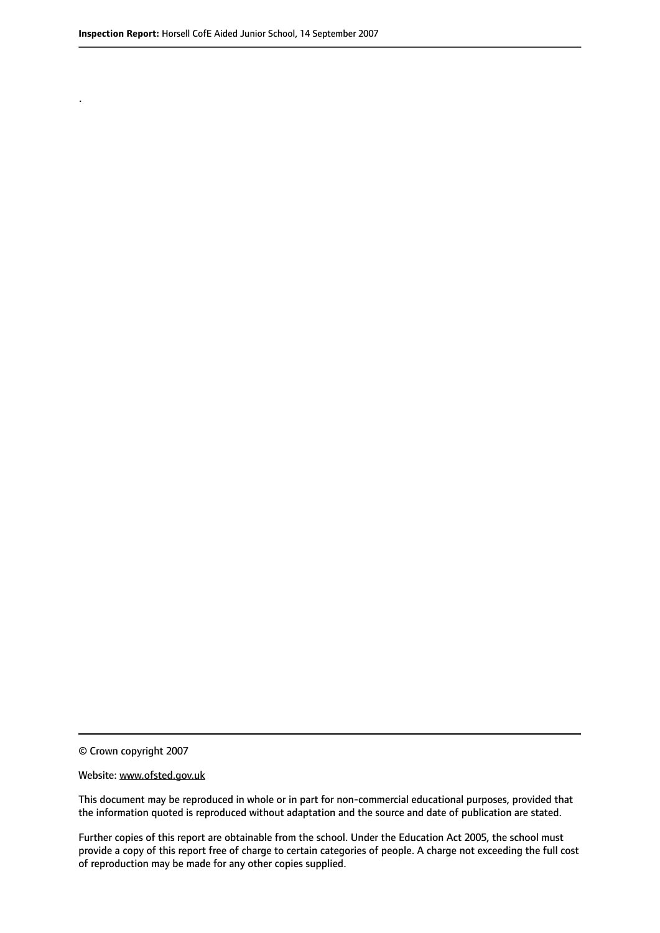.

© Crown copyright 2007

#### Website: www.ofsted.gov.uk

This document may be reproduced in whole or in part for non-commercial educational purposes, provided that the information quoted is reproduced without adaptation and the source and date of publication are stated.

Further copies of this report are obtainable from the school. Under the Education Act 2005, the school must provide a copy of this report free of charge to certain categories of people. A charge not exceeding the full cost of reproduction may be made for any other copies supplied.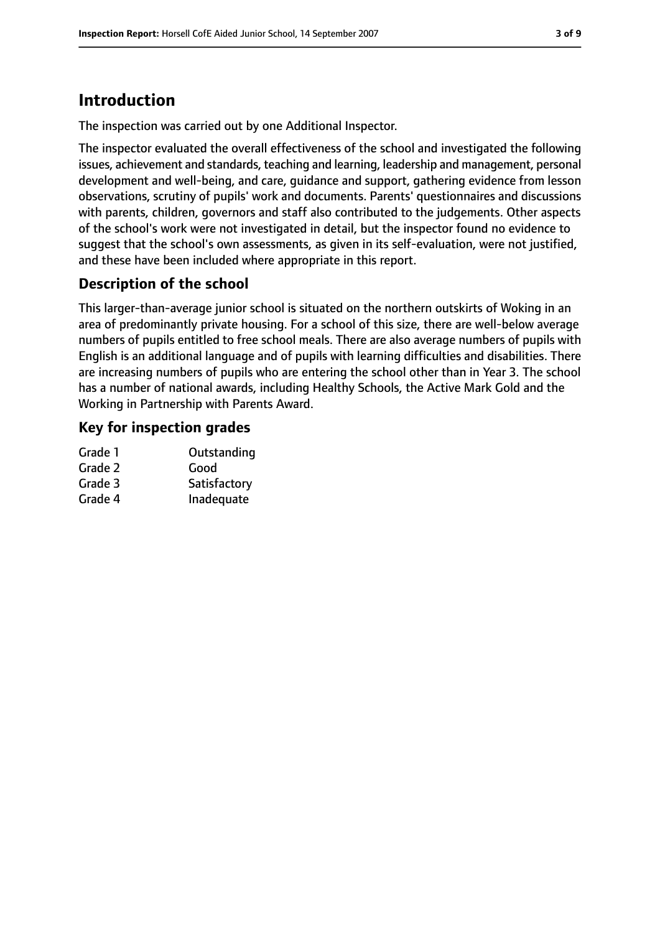# **Introduction**

The inspection was carried out by one Additional Inspector.

The inspector evaluated the overall effectiveness of the school and investigated the following issues, achievement and standards, teaching and learning, leadership and management, personal development and well-being, and care, guidance and support, gathering evidence from lesson observations, scrutiny of pupils' work and documents. Parents' questionnaires and discussions with parents, children, governors and staff also contributed to the judgements. Other aspects of the school's work were not investigated in detail, but the inspector found no evidence to suggest that the school's own assessments, as given in its self-evaluation, were not justified, and these have been included where appropriate in this report.

# **Description of the school**

This larger-than-average junior school is situated on the northern outskirts of Woking in an area of predominantly private housing. For a school of this size, there are well-below average numbers of pupils entitled to free school meals. There are also average numbers of pupils with English is an additional language and of pupils with learning difficulties and disabilities. There are increasing numbers of pupils who are entering the school other than in Year 3. The school has a number of national awards, including Healthy Schools, the Active Mark Gold and the Working in Partnership with Parents Award.

## **Key for inspection grades**

| Grade 1 | Outstanding  |
|---------|--------------|
| Grade 2 | Good         |
| Grade 3 | Satisfactory |
| Grade 4 | Inadequate   |
|         |              |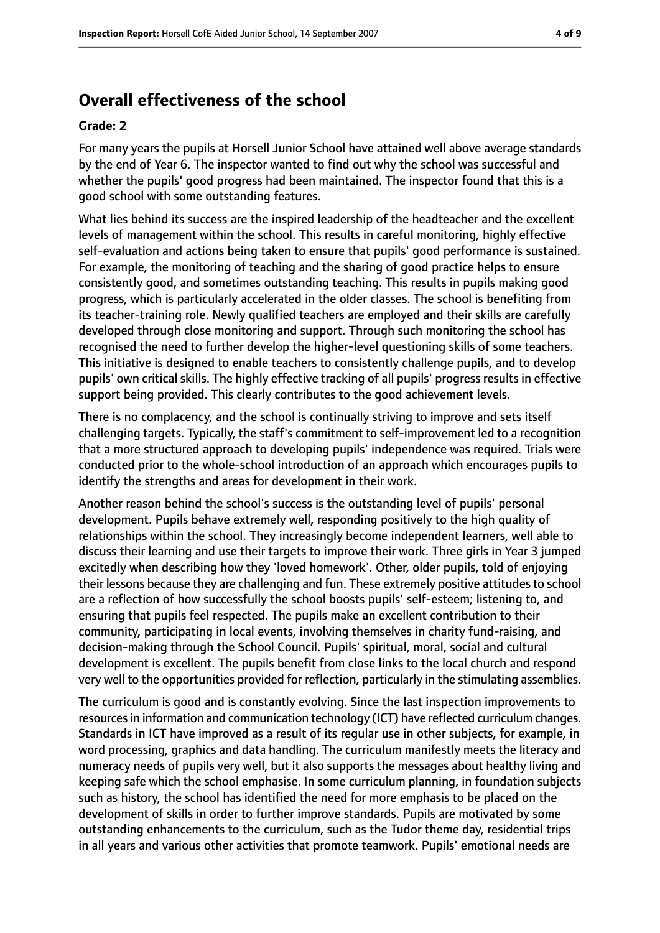# **Overall effectiveness of the school**

#### **Grade: 2**

For many years the pupils at Horsell Junior School have attained well above average standards by the end of Year 6. The inspector wanted to find out why the school was successful and whether the pupils' good progress had been maintained. The inspector found that this is a good school with some outstanding features.

What lies behind its success are the inspired leadership of the headteacher and the excellent levels of management within the school. This results in careful monitoring, highly effective self-evaluation and actions being taken to ensure that pupils' good performance is sustained. For example, the monitoring of teaching and the sharing of good practice helps to ensure consistently good, and sometimes outstanding teaching. This results in pupils making good progress, which is particularly accelerated in the older classes. The school is benefiting from its teacher-training role. Newly qualified teachers are employed and their skills are carefully developed through close monitoring and support. Through such monitoring the school has recognised the need to further develop the higher-level questioning skills of some teachers. This initiative is designed to enable teachers to consistently challenge pupils, and to develop pupils' own critical skills. The highly effective tracking of all pupils' progress results in effective support being provided. This clearly contributes to the good achievement levels.

There is no complacency, and the school is continually striving to improve and sets itself challenging targets. Typically, the staff's commitment to self-improvement led to a recognition that a more structured approach to developing pupils' independence was required. Trials were conducted prior to the whole-school introduction of an approach which encourages pupils to identify the strengths and areas for development in their work.

Another reason behind the school's success is the outstanding level of pupils' personal development. Pupils behave extremely well, responding positively to the high quality of relationships within the school. They increasingly become independent learners, well able to discuss their learning and use their targets to improve their work. Three girls in Year 3 jumped excitedly when describing how they 'loved homework'. Other, older pupils, told of enjoying their lessons because they are challenging and fun. These extremely positive attitudes to school are a reflection of how successfully the school boosts pupils' self-esteem; listening to, and ensuring that pupils feel respected. The pupils make an excellent contribution to their community, participating in local events, involving themselves in charity fund-raising, and decision-making through the School Council. Pupils' spiritual, moral, social and cultural development is excellent. The pupils benefit from close links to the local church and respond very well to the opportunities provided for reflection, particularly in the stimulating assemblies.

The curriculum is good and is constantly evolving. Since the last inspection improvements to resourcesin information and communication technology (ICT) have reflected curriculum changes. Standards in ICT have improved as a result of its regular use in other subjects, for example, in word processing, graphics and data handling. The curriculum manifestly meets the literacy and numeracy needs of pupils very well, but it also supports the messages about healthy living and keeping safe which the school emphasise. In some curriculum planning, in foundation subjects such as history, the school has identified the need for more emphasis to be placed on the development of skills in order to further improve standards. Pupils are motivated by some outstanding enhancements to the curriculum, such as the Tudor theme day, residential trips in all years and various other activities that promote teamwork. Pupils' emotional needs are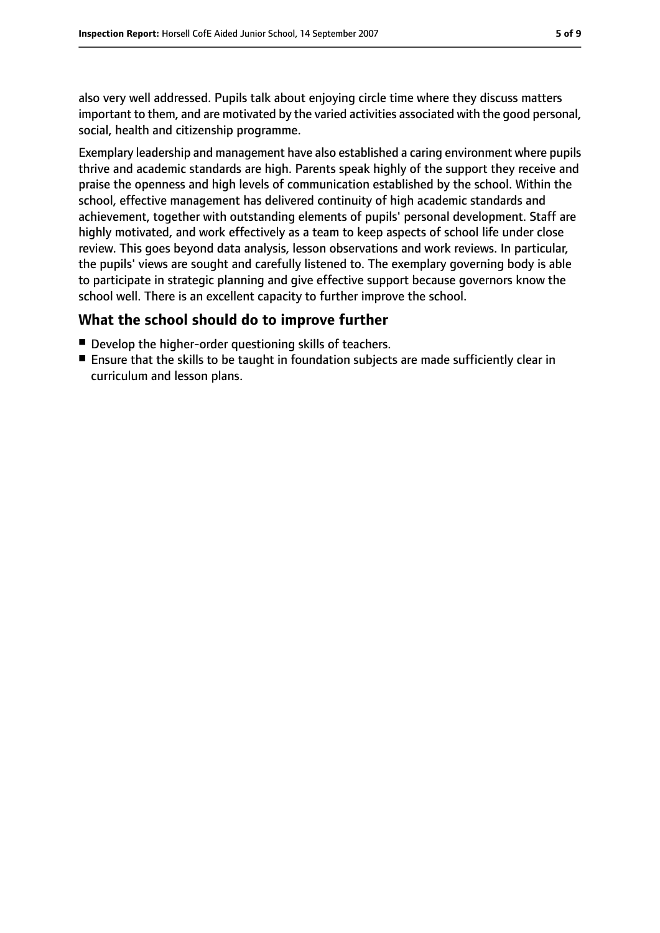also very well addressed. Pupils talk about enjoying circle time where they discuss matters important to them, and are motivated by the varied activities associated with the good personal, social, health and citizenship programme.

Exemplary leadership and management have also established a caring environment where pupils thrive and academic standards are high. Parents speak highly of the support they receive and praise the openness and high levels of communication established by the school. Within the school, effective management has delivered continuity of high academic standards and achievement, together with outstanding elements of pupils' personal development. Staff are highly motivated, and work effectively as a team to keep aspects of school life under close review. This goes beyond data analysis, lesson observations and work reviews. In particular, the pupils' views are sought and carefully listened to. The exemplary governing body is able to participate in strategic planning and give effective support because governors know the school well. There is an excellent capacity to further improve the school.

#### **What the school should do to improve further**

- Develop the higher-order questioning skills of teachers.
- Ensure that the skills to be taught in foundation subjects are made sufficiently clear in curriculum and lesson plans.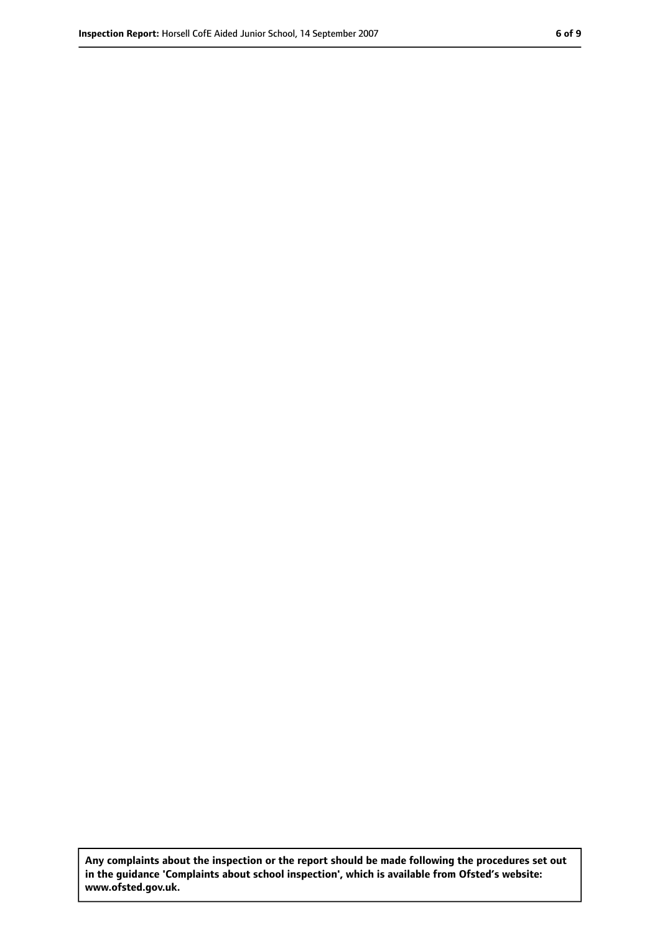**Any complaints about the inspection or the report should be made following the procedures set out in the guidance 'Complaints about school inspection', which is available from Ofsted's website: www.ofsted.gov.uk.**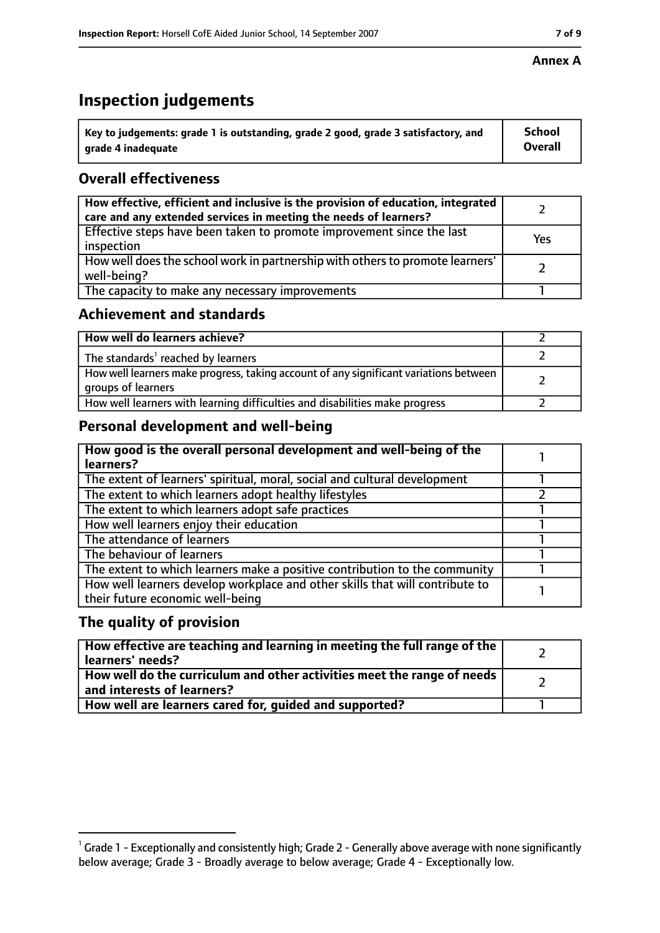# **Inspection judgements**

| $^{\backprime}$ Key to judgements: grade 1 is outstanding, grade 2 good, grade 3 satisfactory, and | School         |
|----------------------------------------------------------------------------------------------------|----------------|
| arade 4 inadeguate                                                                                 | <b>Overall</b> |

# **Overall effectiveness**

| How effective, efficient and inclusive is the provision of education, integrated<br>care and any extended services in meeting the needs of learners? |     |
|------------------------------------------------------------------------------------------------------------------------------------------------------|-----|
| Effective steps have been taken to promote improvement since the last<br>inspection                                                                  | Yes |
| How well does the school work in partnership with others to promote learners'<br>well-being?                                                         |     |
| The capacity to make any necessary improvements                                                                                                      |     |

# **Achievement and standards**

| How well do learners achieve?                                                                               |  |
|-------------------------------------------------------------------------------------------------------------|--|
| The standards <sup>1</sup> reached by learners                                                              |  |
| How well learners make progress, taking account of any significant variations between<br>groups of learners |  |
| How well learners with learning difficulties and disabilities make progress                                 |  |

# **Personal development and well-being**

| How good is the overall personal development and well-being of the<br>learners? |  |
|---------------------------------------------------------------------------------|--|
|                                                                                 |  |
| The extent of learners' spiritual, moral, social and cultural development       |  |
| The extent to which learners adopt healthy lifestyles                           |  |
| The extent to which learners adopt safe practices                               |  |
| How well learners enjoy their education                                         |  |
| The attendance of learners                                                      |  |
| The behaviour of learners                                                       |  |
| The extent to which learners make a positive contribution to the community      |  |
| How well learners develop workplace and other skills that will contribute to    |  |
| their future economic well-being                                                |  |

### **The quality of provision**

| How effective are teaching and learning in meeting the full range of the<br>learners' needs?            |  |
|---------------------------------------------------------------------------------------------------------|--|
| How well do the curriculum and other activities meet the range of needs  <br>and interests of learners? |  |
| How well are learners cared for, guided and supported?                                                  |  |

 $^1$  Grade 1 - Exceptionally and consistently high; Grade 2 - Generally above average with none significantly below average; Grade 3 - Broadly average to below average; Grade 4 - Exceptionally low.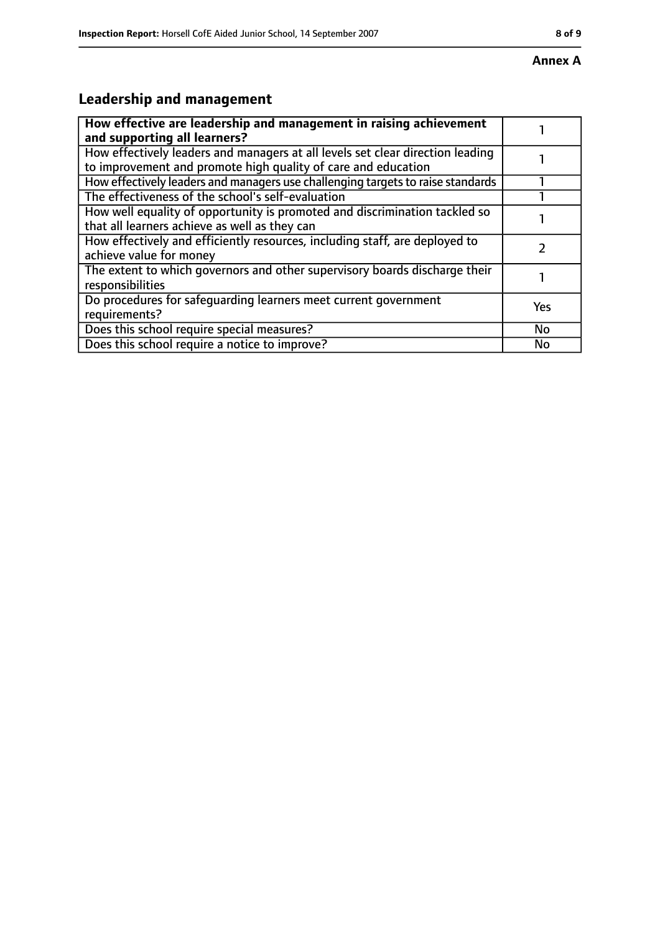# **Leadership and management**

| How effective are leadership and management in raising achievement<br>and supporting all learners?                                              |           |
|-------------------------------------------------------------------------------------------------------------------------------------------------|-----------|
| How effectively leaders and managers at all levels set clear direction leading<br>to improvement and promote high quality of care and education |           |
| How effectively leaders and managers use challenging targets to raise standards                                                                 |           |
| The effectiveness of the school's self-evaluation                                                                                               |           |
| How well equality of opportunity is promoted and discrimination tackled so<br>that all learners achieve as well as they can                     |           |
| How effectively and efficiently resources, including staff, are deployed to<br>achieve value for money                                          |           |
| The extent to which governors and other supervisory boards discharge their<br>responsibilities                                                  |           |
| Do procedures for safequarding learners meet current government<br>requirements?                                                                | Yes       |
| Does this school require special measures?                                                                                                      | <b>No</b> |
| Does this school require a notice to improve?                                                                                                   | No        |